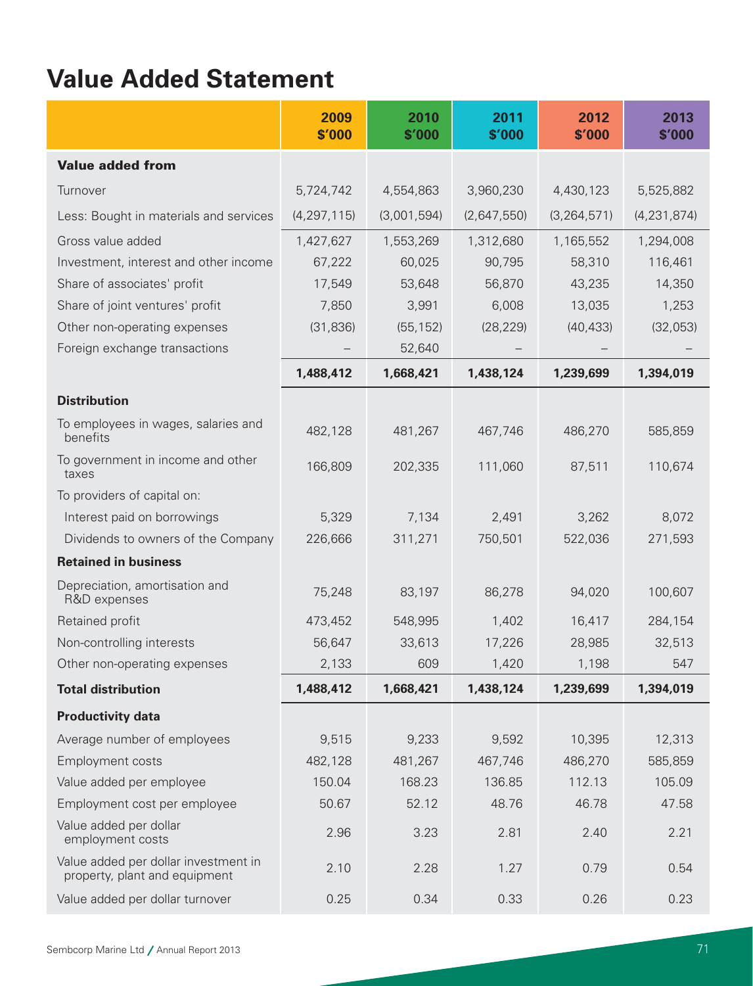# **Value Added Statement**

|                                                                       | 2009<br>\$'000 | 2010<br>\$'000 | 2011<br>\$'000 | 2012<br>\$'000 | 2013<br>\$'000 |
|-----------------------------------------------------------------------|----------------|----------------|----------------|----------------|----------------|
| <b>Value added from</b>                                               |                |                |                |                |                |
| Turnover                                                              | 5,724,742      | 4,554,863      | 3,960,230      | 4,430,123      | 5,525,882      |
| Less: Bought in materials and services                                | (4, 297, 115)  | (3,001,594)    | (2,647,550)    | (3, 264, 571)  | (4, 231, 874)  |
| Gross value added                                                     | 1,427,627      | 1,553,269      | 1,312,680      | 1,165,552      | 1,294,008      |
| Investment, interest and other income                                 | 67,222         | 60,025         | 90,795         | 58,310         | 116,461        |
| Share of associates' profit                                           | 17,549         | 53,648         | 56,870         | 43,235         | 14,350         |
| Share of joint ventures' profit                                       | 7,850          | 3,991          | 6,008          | 13,035         | 1,253          |
| Other non-operating expenses                                          | (31, 836)      | (55, 152)      | (28, 229)      | (40, 433)      | (32,053)       |
| Foreign exchange transactions                                         |                | 52,640         |                |                |                |
|                                                                       | 1,488,412      | 1,668,421      | 1,438,124      | 1,239,699      | 1,394,019      |
| <b>Distribution</b>                                                   |                |                |                |                |                |
| To employees in wages, salaries and<br>benefits                       | 482,128        | 481,267        | 467,746        | 486,270        | 585,859        |
| To government in income and other<br>taxes                            | 166,809        | 202,335        | 111,060        | 87,511         | 110,674        |
| To providers of capital on:                                           |                |                |                |                |                |
| Interest paid on borrowings                                           | 5,329          | 7,134          | 2,491          | 3,262          | 8,072          |
| Dividends to owners of the Company                                    | 226,666        | 311,271        | 750,501        | 522,036        | 271,593        |
| <b>Retained in business</b>                                           |                |                |                |                |                |
| Depreciation, amortisation and<br>R&D expenses                        | 75,248         | 83,197         | 86,278         | 94,020         | 100,607        |
| Retained profit                                                       | 473,452        | 548,995        | 1,402          | 16,417         | 284,154        |
| Non-controlling interests                                             | 56,647         | 33,613         | 17,226         | 28,985         | 32,513         |
| Other non-operating expenses                                          | 2,133          | 609            | 1,420          | 1,198          | 547            |
| <b>Total distribution</b>                                             | 1,488,412      | 1,668,421      | 1,438,124      | 1,239,699      | 1,394,019      |
| <b>Productivity data</b>                                              |                |                |                |                |                |
| Average number of employees                                           | 9,515          | 9,233          | 9,592          | 10,395         | 12,313         |
| Employment costs                                                      | 482,128        | 481,267        | 467,746        | 486,270        | 585,859        |
| Value added per employee                                              | 150.04         | 168.23         | 136.85         | 112.13         | 105.09         |
| Employment cost per employee                                          | 50.67          | 52.12          | 48.76          | 46.78          | 47.58          |
| Value added per dollar<br>employment costs                            | 2.96           | 3.23           | 2.81           | 2.40           | 2.21           |
| Value added per dollar investment in<br>property, plant and equipment | 2.10           | 2.28           | 1.27           | 0.79           | 0.54           |
| Value added per dollar turnover                                       | 0.25           | 0.34           | 0.33           | 0.26           | 0.23           |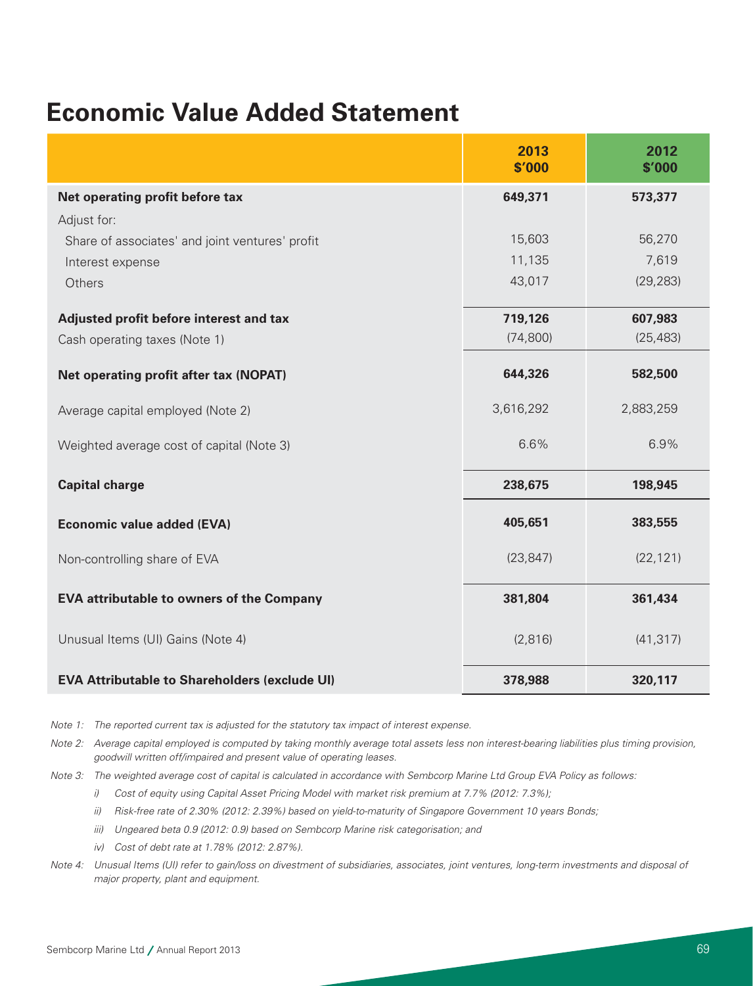## **Economic Value Added Statement**

|                                                      | 2013<br>\$'000 | 2012<br>\$'000 |
|------------------------------------------------------|----------------|----------------|
| Net operating profit before tax                      | 649,371        | 573,377        |
| Adjust for:                                          |                |                |
| Share of associates' and joint ventures' profit      | 15,603         | 56,270         |
| Interest expense                                     | 11,135         | 7,619          |
| Others                                               | 43,017         | (29, 283)      |
| Adjusted profit before interest and tax              | 719,126        | 607,983        |
| Cash operating taxes (Note 1)                        | (74, 800)      | (25, 483)      |
| Net operating profit after tax (NOPAT)               | 644,326        | 582,500        |
| Average capital employed (Note 2)                    | 3,616,292      | 2,883,259      |
| Weighted average cost of capital (Note 3)            | 6.6%           | 6.9%           |
| <b>Capital charge</b>                                | 238,675        | 198,945        |
| <b>Economic value added (EVA)</b>                    | 405,651        | 383,555        |
| Non-controlling share of EVA                         | (23, 847)      | (22, 121)      |
| <b>EVA attributable to owners of the Company</b>     | 381,804        | 361,434        |
| Unusual Items (UI) Gains (Note 4)                    | (2,816)        | (41, 317)      |
| <b>EVA Attributable to Shareholders (exclude UI)</b> | 378,988        | 320,117        |

*Note 1: The reported current tax is adjusted for the statutory tax impact of interest expense.* 

- *Note 2: Average capital employed is computed by taking monthly average total assets less non interest-bearing liabilities plus timing provision, goodwill written off/impaired and present value of operating leases.*
- *Note 3: The weighted average cost of capital is calculated in accordance with Sembcorp Marine Ltd Group EVA Policy as follows:*
	- *i) Cost of equity using Capital Asset Pricing Model with market risk premium at 7.7% (2012: 7.3%);*
	- *ii) Risk-free rate of 2.30% (2012: 2.39%) based on yield-to-maturity of Singapore Government 10 years Bonds;*
	- *iii) Ungeared beta 0.9 (2012: 0.9) based on Sembcorp Marine risk categorisation; and*
	- *iv) Cost of debt rate at 1.78% (2012: 2.87%).*
- *Note 4: Unusual Items (UI) refer to gain/loss on divestment of subsidiaries, associates, joint ventures, long-term investments and disposal of major property, plant and equipment.*